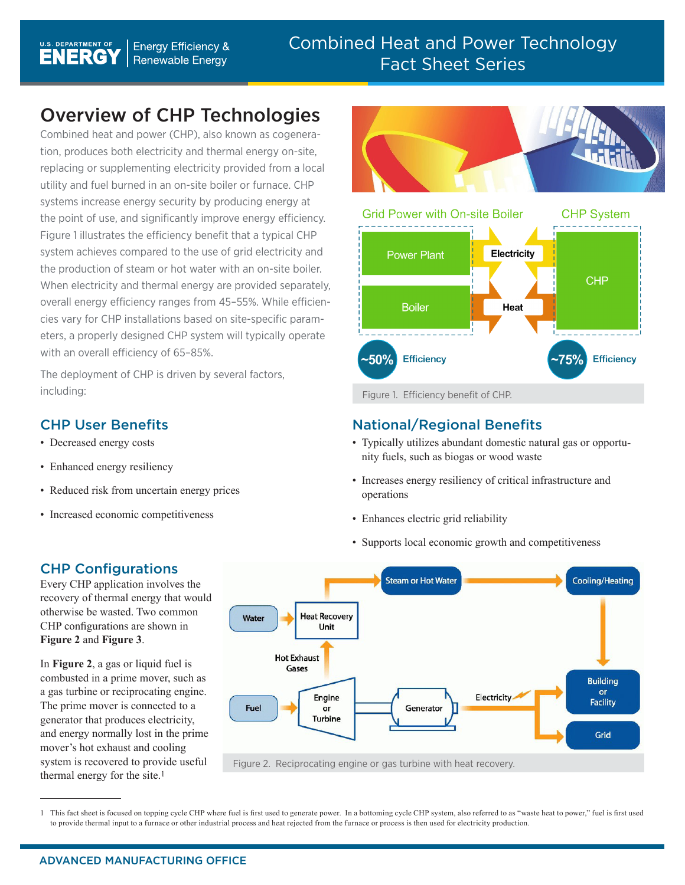# Overview of CHP Technologies

Combined heat and power (CHP), also known as cogeneration, produces both electricity and thermal energy on-site, replacing or supplementing electricity provided from a local utility and fuel burned in an on-site boiler or furnace. CHP systems increase energy security by producing energy at the point of use, and significantly improve energy efficiency. Figure 1 illustrates the efficiency benefit that a typical CHP system achieves compared to the use of grid electricity and the production of steam or hot water with an on-site boiler. When electricity and thermal energy are provided separately, overall energy efficiency ranges from 45–55%. While efficiencies vary for CHP installations based on site-specific parameters, a properly designed CHP system will typically operate with an overall efficiency of 65–85%.

The deployment of CHP is driven by several factors, including: including: including:

#### CHP User Benefits

- Decreased energy costs
- Enhanced energy resiliency
- Reduced risk from uncertain energy prices
- Increased economic competitiveness





## National/Regional Benefits

- Typically utilizes abundant domestic natural gas or opportunity fuels, such as biogas or wood waste
- Increases energy resiliency of critical infrastructure and operations
- Enhances electric grid reliability
- Supports local economic growth and competitiveness

## CHP Configurations

Every CHP application involves the recovery of thermal energy that would otherwise be wasted. Two common CHP configurations are shown in **Figure 2** and **Figure 3**.

In **Figure 2**, a gas or liquid fuel is combusted in a prime mover, such as a gas turbine or reciprocating engine. The prime mover is connected to a generator that produces electricity, and energy normally lost in the prime mover's hot exhaust and cooling system is recovered to provide useful thermal energy for the site.1



1 This fact sheet is focused on topping cycle CHP where fuel is first used to generate power. In a bottoming cycle CHP system, also referred to as "waste heat to power," fuel is first used to provide thermal input to a furnace or other industrial process and heat rejected from the furnace or process is then used for electricity production.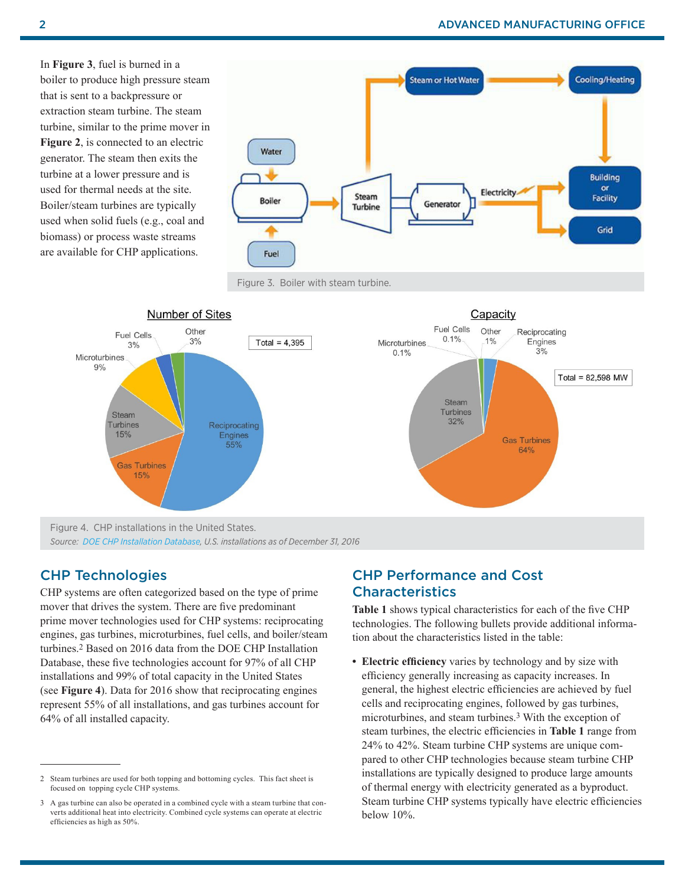In **Figure 3**, fuel is burned in a boiler to produce high pressure steam that is sent to a backpressure or extraction steam turbine. The steam turbine, similar to the prime mover in **Figure 2**, is connected to an electric generator. The steam then exits the turbine at a lower pressure and is used for thermal needs at the site. Boiler/steam turbines are typically used when solid fuels (e.g., coal and biomass) or process waste streams are available for CHP applications.







#### CHP Technologies

CHP systems are often categorized based on the type of prime mover that drives the system. There are five predominant prime mover technologies used for CHP systems: reciprocating engines, gas turbines, microturbines, fuel cells, and boiler/steam turbines.2 Based on 2016 data from the DOE CHP Installation Database, these five technologies account for 97% of all CHP installations and 99% of total capacity in the United States (see **Figure 4**). Data for 2016 show that reciprocating engines represent 55% of all installations, and gas turbines account for 64% of all installed capacity.

#### CHP Performance and Cost **Characteristics**

**Table 1** shows typical characteristics for each of the five CHP technologies. The following bullets provide additional information about the characteristics listed in the table:

**• Electric efficiency** varies by technology and by size with efficiency generally increasing as capacity increases. In general, the highest electric efficiencies are achieved by fuel cells and reciprocating engines, followed by gas turbines, microturbines, and steam turbines.3 With the exception of steam turbines, the electric efficiencies in **Table 1** range from 24% to 42%. Steam turbine CHP systems are unique compared to other CHP technologies because steam turbine CHP installations are typically designed to produce large amounts of thermal energy with electricity generated as a byproduct. Steam turbine CHP systems typically have electric efficiencies below 10%.

<sup>2</sup> Steam turbines are used for both topping and bottoming cycles. This fact sheet is focused on topping cycle CHP systems.

<sup>3</sup> A gas turbine can also be operated in a combined cycle with a steam turbine that converts additional heat into electricity. Combined cycle systems can operate at electric efficiencies as high as 50%.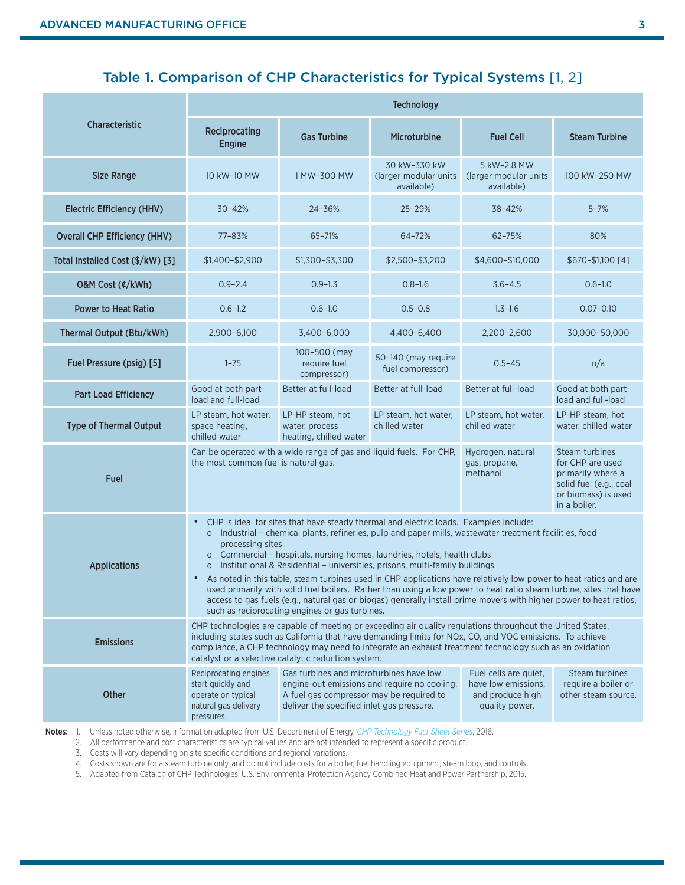# Table 1. Comparison of CHP Characteristics for Typical Systems [1, 2]

| Characteristic                      | <b>Technology</b>                                                                                                                                                                                                                                                                                                                                                                                                                                                                                                                                                                                                                                                                                                                                                                                                                               |                                                                                                                                                                                  |                                                     |                                                                                    |                                                              |
|-------------------------------------|-------------------------------------------------------------------------------------------------------------------------------------------------------------------------------------------------------------------------------------------------------------------------------------------------------------------------------------------------------------------------------------------------------------------------------------------------------------------------------------------------------------------------------------------------------------------------------------------------------------------------------------------------------------------------------------------------------------------------------------------------------------------------------------------------------------------------------------------------|----------------------------------------------------------------------------------------------------------------------------------------------------------------------------------|-----------------------------------------------------|------------------------------------------------------------------------------------|--------------------------------------------------------------|
|                                     | Reciprocating<br><b>Engine</b>                                                                                                                                                                                                                                                                                                                                                                                                                                                                                                                                                                                                                                                                                                                                                                                                                  | <b>Gas Turbine</b>                                                                                                                                                               | <b>Microturbine</b>                                 | <b>Fuel Cell</b>                                                                   | <b>Steam Turbine</b>                                         |
| <b>Size Range</b>                   | 10 kW-10 MW                                                                                                                                                                                                                                                                                                                                                                                                                                                                                                                                                                                                                                                                                                                                                                                                                                     | 1 MW-300 MW                                                                                                                                                                      | 30 kW-330 kW<br>(larger modular units<br>available) | 5 kW-2.8 MW<br>(larger modular units<br>available)                                 | 100 kW-250 MW                                                |
| <b>Electric Efficiency (HHV)</b>    | 30-42%                                                                                                                                                                                                                                                                                                                                                                                                                                                                                                                                                                                                                                                                                                                                                                                                                                          | 24-36%                                                                                                                                                                           | 25-29%                                              | 38-42%                                                                             | $5 - 7%$                                                     |
| <b>Overall CHP Efficiency (HHV)</b> | 77-83%                                                                                                                                                                                                                                                                                                                                                                                                                                                                                                                                                                                                                                                                                                                                                                                                                                          | 65-71%                                                                                                                                                                           | 64-72%                                              | 62-75%                                                                             | 80%                                                          |
| Total Installed Cost (\$/kW) [3]    | $$1,400 - $2,900$                                                                                                                                                                                                                                                                                                                                                                                                                                                                                                                                                                                                                                                                                                                                                                                                                               | $$1,300 - $3,300$                                                                                                                                                                | \$2,500-\$3,200                                     | \$4,600-\$10,000                                                                   | \$670-\$1,100 [4]                                            |
| O&M Cost (¢/kWh)                    | $0.9 - 2.4$                                                                                                                                                                                                                                                                                                                                                                                                                                                                                                                                                                                                                                                                                                                                                                                                                                     | $0.9 - 1.3$                                                                                                                                                                      | $0.8 - 1.6$                                         | $3.6 - 4.5$                                                                        | $0.6 - 1.0$                                                  |
| <b>Power to Heat Ratio</b>          | $0.6 - 1.2$                                                                                                                                                                                                                                                                                                                                                                                                                                                                                                                                                                                                                                                                                                                                                                                                                                     | $0.6 - 1.0$                                                                                                                                                                      | $0.5 - 0.8$                                         | $1.3 - 1.6$                                                                        | $0.07 - 0.10$                                                |
| Thermal Output (Btu/kWh)            | 2,900-6,100                                                                                                                                                                                                                                                                                                                                                                                                                                                                                                                                                                                                                                                                                                                                                                                                                                     | 3,400-6,000                                                                                                                                                                      | 4,400-6,400                                         | 2,200-2,600                                                                        | 30,000-50,000                                                |
| Fuel Pressure (psig) [5]            | $1 - 75$                                                                                                                                                                                                                                                                                                                                                                                                                                                                                                                                                                                                                                                                                                                                                                                                                                        | 100-500 (may<br>require fuel<br>compressor)                                                                                                                                      | 50-140 (may require<br>fuel compressor)             | $0.5 - 45$                                                                         | n/a                                                          |
| <b>Part Load Efficiency</b>         | Good at both part-<br>load and full-load                                                                                                                                                                                                                                                                                                                                                                                                                                                                                                                                                                                                                                                                                                                                                                                                        | Better at full-load                                                                                                                                                              | Better at full-load                                 | Better at full-load                                                                | Good at both part-<br>load and full-load                     |
| <b>Type of Thermal Output</b>       | LP steam, hot water,<br>space heating,<br>chilled water                                                                                                                                                                                                                                                                                                                                                                                                                                                                                                                                                                                                                                                                                                                                                                                         | LP-HP steam, hot<br>water, process<br>heating, chilled water                                                                                                                     | LP steam, hot water,<br>chilled water               | LP steam, hot water,<br>chilled water                                              | LP-HP steam, hot<br>water, chilled water                     |
| <b>Fuel</b>                         | Steam turbines<br>Can be operated with a wide range of gas and liquid fuels. For CHP,<br>Hydrogen, natural<br>the most common fuel is natural gas.<br>for CHP are used<br>gas, propane,<br>methanol<br>primarily where a<br>solid fuel (e.g., coal<br>or biomass) is used<br>in a boiler.                                                                                                                                                                                                                                                                                                                                                                                                                                                                                                                                                       |                                                                                                                                                                                  |                                                     |                                                                                    |                                                              |
| <b>Applications</b>                 | CHP is ideal for sites that have steady thermal and electric loads. Examples include:<br>$\bullet$<br>o Industrial - chemical plants, refineries, pulp and paper mills, wastewater treatment facilities, food<br>processing sites<br>Commercial - hospitals, nursing homes, laundries, hotels, health clubs<br>$\circ$<br>Institutional & Residential - universities, prisons, multi-family buildings<br>$\circ$<br>As noted in this table, steam turbines used in CHP applications have relatively low power to heat ratios and are<br>$\bullet$<br>used primarily with solid fuel boilers. Rather than using a low power to heat ratio steam turbine, sites that have<br>access to gas fuels (e.g., natural gas or biogas) generally install prime movers with higher power to heat ratios,<br>such as reciprocating engines or gas turbines. |                                                                                                                                                                                  |                                                     |                                                                                    |                                                              |
| <b>Emissions</b>                    | CHP technologies are capable of meeting or exceeding air quality regulations throughout the United States,<br>including states such as California that have demanding limits for NOx, CO, and VOC emissions. To achieve<br>compliance, a CHP technology may need to integrate an exhaust treatment technology such as an oxidation<br>catalyst or a selective catalytic reduction system.                                                                                                                                                                                                                                                                                                                                                                                                                                                       |                                                                                                                                                                                  |                                                     |                                                                                    |                                                              |
| Other                               | Reciprocating engines<br>start quickly and<br>operate on typical<br>natural gas delivery<br>pressures.                                                                                                                                                                                                                                                                                                                                                                                                                                                                                                                                                                                                                                                                                                                                          | Gas turbines and microturbines have low<br>engine-out emissions and require no cooling.<br>A fuel gas compressor may be required to<br>deliver the specified inlet gas pressure. |                                                     | Fuel cells are quiet,<br>have low emissions,<br>and produce high<br>quality power. | Steam turbines<br>require a boiler or<br>other steam source. |

Notes: 1. Unless noted otherwise, information adapted from U.S. Department of Energy, *[CHP Technology Fact Sheet Series](https://energy.gov/eere/amo/combined-heat-and-power-basics#factsheet)*, 2016.

2. All performance and cost characteristics are typical values and are not intended to represent a specific product.

3. Costs will vary depending on site specific conditions and regional variations.

4. Costs shown are for a steam turbine only, and do not include costs for a boiler, fuel handling equipment, steam loop, and controls.

5. Adapted from Catalog of CHP Technologies, U.S. Environmental Protection Agency Combined Heat and Power Partnership, 2015.